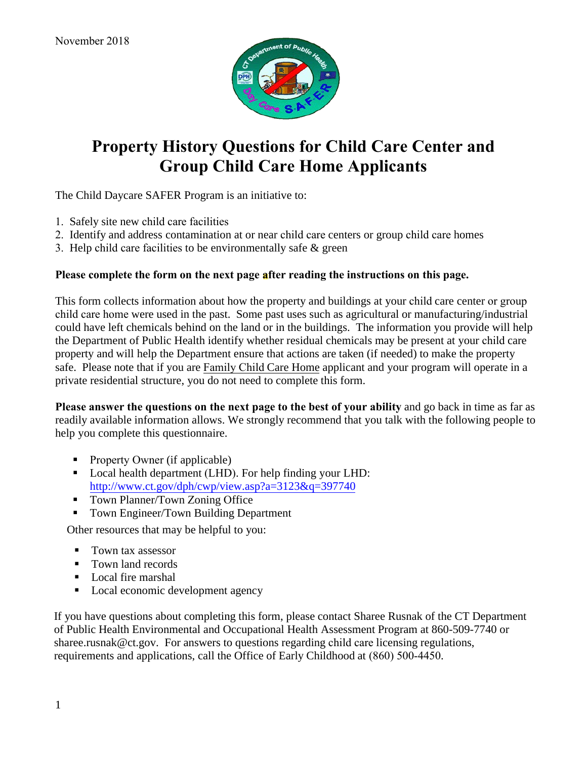

## **Property History Questions for Child Care Center and Group Child Care Home Applicants**

The Child Daycare SAFER Program is an initiative to:

- 1. Safely site new child care facilities
- 2. Identify and address contamination at or near child care centers or group child care homes
- 3. Help child care facilities to be environmentally safe & green

## **Please complete the form on the next page after reading the instructions on this page.**

This form collects information about how the property and buildings at your child care center or group child care home were used in the past. Some past uses such as agricultural or manufacturing/industrial could have left chemicals behind on the land or in the buildings. The information you provide will help the Department of Public Health identify whether residual chemicals may be present at your child care property and will help the Department ensure that actions are taken (if needed) to make the property safe. Please note that if you are Family Child Care Home applicant and your program will operate in a private residential structure, you do not need to complete this form.

**Please answer the questions on the next page to the best of your ability** and go back in time as far as readily available information allows. We strongly recommend that you talk with the following people to help you complete this questionnaire.

- Property Owner (if applicable)
- Local health department (LHD). For help finding your LHD: <http://www.ct.gov/dph/cwp/view.asp?a=3123&q=397740>
- Town Planner/Town Zoning Office
- Town Engineer/Town Building Department

Other resources that may be helpful to you:

- Town tax assessor
- Town land records
- **Local fire marshal**
- Local economic development agency

If you have questions about completing this form, please contact Sharee Rusnak of the CT Department of Public Health Environmental and Occupational Health Assessment Program at 860-509-7740 or sharee.rusnak@ct.gov. For answers to questions regarding child care licensing regulations, requirements and applications, call the Office of Early Childhood at (860) 500-4450.